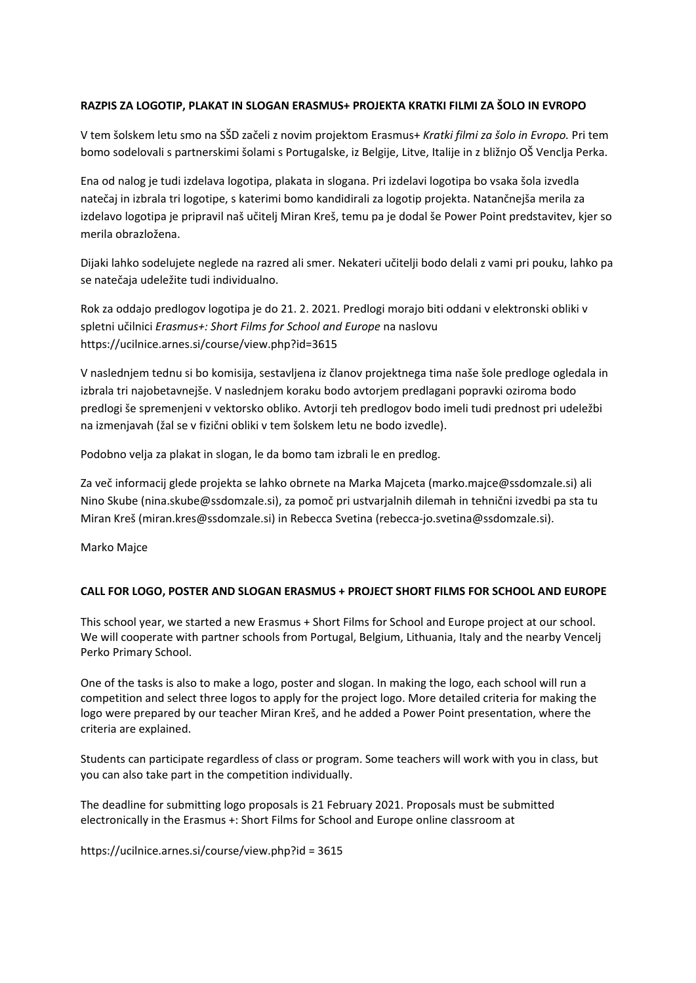## **RAZPIS ZA LOGOTIP, PLAKAT IN SLOGAN ERASMUS+ PROJEKTA KRATKI FILMI ZA ŠOLO IN EVROPO**

V tem šolskem letu smo na SŠD začeli z novim projektom Erasmus+ *Kratki filmi za šolo in Evropo.* Pri tem bomo sodelovali s partnerskimi šolami s Portugalske, iz Belgije, Litve, Italije in z bližnjo OŠ Venclja Perka.

Ena od nalog je tudi izdelava logotipa, plakata in slogana. Pri izdelavi logotipa bo vsaka šola izvedla natečaj in izbrala tri logotipe, s katerimi bomo kandidirali za logotip projekta. Natančnejša merila za izdelavo logotipa je pripravil naš učitelj Miran Kreš, temu pa je dodal še Power Point predstavitev, kjer so merila obrazložena.

Dijaki lahko sodelujete neglede na razred ali smer. Nekateri učitelji bodo delali z vami pri pouku, lahko pa se natečaja udeležite tudi individualno.

Rok za oddajo predlogov logotipa je do 21. 2. 2021. Predlogi morajo biti oddani v elektronski obliki v spletni učilnici *Erasmus+: Short Films for School and Europe* na naslovu https://ucilnice.arnes.si/course/view.php?id=3615

V naslednjem tednu si bo komisija, sestavljena iz članov projektnega tima naše šole predloge ogledala in izbrala tri najobetavnejše. V naslednjem koraku bodo avtorjem predlagani popravki oziroma bodo predlogi še spremenjeni v vektorsko obliko. Avtorji teh predlogov bodo imeli tudi prednost pri udeležbi na izmenjavah (žal se v fizični obliki v tem šolskem letu ne bodo izvedle).

Podobno velja za plakat in slogan, le da bomo tam izbrali le en predlog.

Za več informacij glede projekta se lahko obrnete na Marka Majceta (marko.majce@ssdomzale.si) ali Nino Skube (nina.skube@ssdomzale.si), za pomoč pri ustvarjalnih dilemah in tehnični izvedbi pa sta tu Miran Kreš (miran.kres@ssdomzale.si) in Rebecca Svetina (rebecca‐jo.svetina@ssdomzale.si).

Marko Majce

## **CALL FOR LOGO, POSTER AND SLOGAN ERASMUS + PROJECT SHORT FILMS FOR SCHOOL AND EUROPE**

This school year, we started a new Erasmus + Short Films for School and Europe project at our school. We will cooperate with partner schools from Portugal, Belgium, Lithuania, Italy and the nearby Vencelj Perko Primary School.

One of the tasks is also to make a logo, poster and slogan. In making the logo, each school will run a competition and select three logos to apply for the project logo. More detailed criteria for making the logo were prepared by our teacher Miran Kreš, and he added a Power Point presentation, where the criteria are explained.

Students can participate regardless of class or program. Some teachers will work with you in class, but you can also take part in the competition individually.

The deadline for submitting logo proposals is 21 February 2021. Proposals must be submitted electronically in the Erasmus +: Short Films for School and Europe online classroom at

https://ucilnice.arnes.si/course/view.php?id = 3615